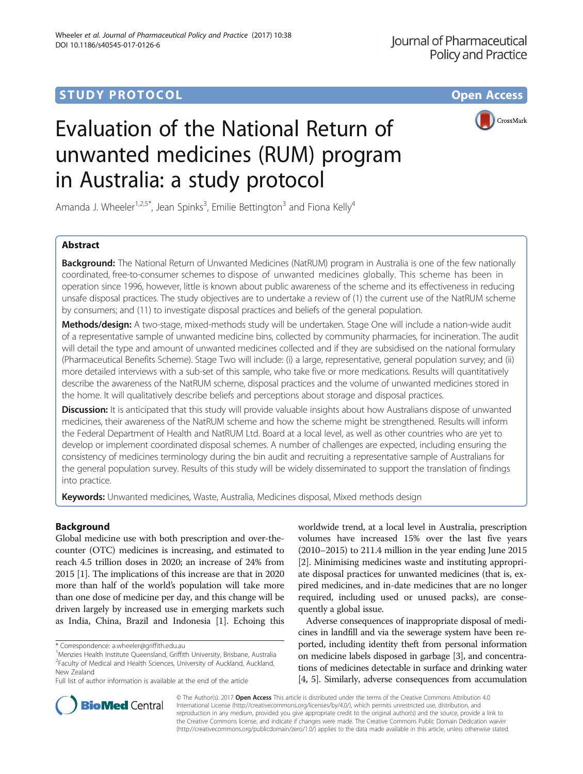# **STUDY PROTOCOL CONSUMING THE RESERVE ACCESS**



# Evaluation of the National Return of unwanted medicines (RUM) program in Australia: a study protocol

Amanda J. Wheeler<sup>1,2,5\*</sup>, Jean Spinks<sup>3</sup>, Emilie Bettington<sup>3</sup> and Fiona Kelly<sup>4</sup>

# Abstract

**Background:** The National Return of Unwanted Medicines (NatRUM) program in Australia is one of the few nationally coordinated, free-to-consumer schemes to dispose of unwanted medicines globally. This scheme has been in operation since 1996, however, little is known about public awareness of the scheme and its effectiveness in reducing unsafe disposal practices. The study objectives are to undertake a review of (1) the current use of the NatRUM scheme by consumers; and (11) to investigate disposal practices and beliefs of the general population.

Methods/design: A two-stage, mixed-methods study will be undertaken. Stage One will include a nation-wide audit of a representative sample of unwanted medicine bins, collected by community pharmacies, for incineration. The audit will detail the type and amount of unwanted medicines collected and if they are subsidised on the national formulary (Pharmaceutical Benefits Scheme). Stage Two will include: (i) a large, representative, general population survey; and (ii) more detailed interviews with a sub-set of this sample, who take five or more medications. Results will quantitatively describe the awareness of the NatRUM scheme, disposal practices and the volume of unwanted medicines stored in the home. It will qualitatively describe beliefs and perceptions about storage and disposal practices.

Discussion: It is anticipated that this study will provide valuable insights about how Australians dispose of unwanted medicines, their awareness of the NatRUM scheme and how the scheme might be strengthened. Results will inform the Federal Department of Health and NatRUM Ltd. Board at a local level, as well as other countries who are yet to develop or implement coordinated disposal schemes. A number of challenges are expected, including ensuring the consistency of medicines terminology during the bin audit and recruiting a representative sample of Australians for the general population survey. Results of this study will be widely disseminated to support the translation of findings into practice.

**Keywords:** Unwanted medicines, Waste, Australia, Medicines disposal, Mixed methods design

# Background

Global medicine use with both prescription and over-thecounter (OTC) medicines is increasing, and estimated to reach 4.5 trillion doses in 2020; an increase of 24% from 2015 [[1\]](#page-8-0). The implications of this increase are that in 2020 more than half of the world's population will take more than one dose of medicine per day, and this change will be driven largely by increased use in emerging markets such as India, China, Brazil and Indonesia [\[1](#page-8-0)]. Echoing this

worldwide trend, at a local level in Australia, prescription volumes have increased 15% over the last five years (2010–2015) to 211.4 million in the year ending June 2015 [[2\]](#page-8-0). Minimising medicines waste and instituting appropriate disposal practices for unwanted medicines (that is, expired medicines, and in-date medicines that are no longer required, including used or unused packs), are consequently a global issue.

Adverse consequences of inappropriate disposal of medicines in landfill and via the sewerage system have been reported, including identity theft from personal information on medicine labels disposed in garbage [[3](#page-8-0)], and concentrations of medicines detectable in surface and drinking water [[4](#page-8-0), [5\]](#page-9-0). Similarly, adverse consequences from accumulation



© The Author(s). 2017 **Open Access** This article is distributed under the terms of the Creative Commons Attribution 4.0 International License [\(http://creativecommons.org/licenses/by/4.0/](http://creativecommons.org/licenses/by/4.0/)), which permits unrestricted use, distribution, and reproduction in any medium, provided you give appropriate credit to the original author(s) and the source, provide a link to the Creative Commons license, and indicate if changes were made. The Creative Commons Public Domain Dedication waiver [\(http://creativecommons.org/publicdomain/zero/1.0/](http://creativecommons.org/publicdomain/zero/1.0/)) applies to the data made available in this article, unless otherwise stated.

<sup>\*</sup> Correspondence: [a.wheeler@griffith.edu.au](mailto:a.wheeler@griffith.edu.au) <sup>1</sup>

<sup>&</sup>lt;sup>1</sup>Menzies Health Institute Queensland, Griffith University, Brisbane, Australia <sup>2</sup> Faculty of Medical and Health Sciences, University of Auckland, Auckland, New Zealand

Full list of author information is available at the end of the article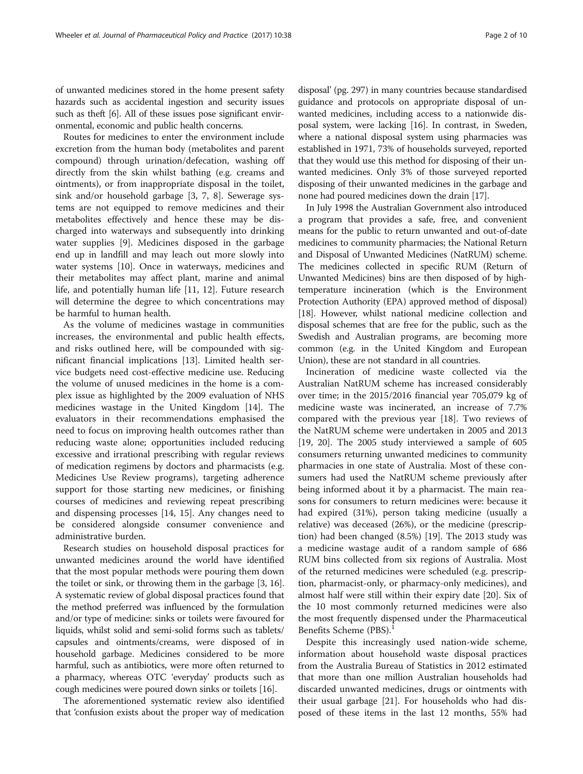of unwanted medicines stored in the home present safety hazards such as accidental ingestion and security issues such as theft [\[6\]](#page-9-0). All of these issues pose significant environmental, economic and public health concerns.

Routes for medicines to enter the environment include excretion from the human body (metabolites and parent compound) through urination/defecation, washing off directly from the skin whilst bathing (e.g. creams and ointments), or from inappropriate disposal in the toilet, sink and/or household garbage [\[3,](#page-8-0) [7](#page-9-0), [8\]](#page-9-0). Sewerage systems are not equipped to remove medicines and their metabolites effectively and hence these may be discharged into waterways and subsequently into drinking water supplies [\[9](#page-9-0)]. Medicines disposed in the garbage end up in landfill and may leach out more slowly into water systems [[10\]](#page-9-0). Once in waterways, medicines and their metabolites may affect plant, marine and animal life, and potentially human life [[11](#page-9-0), [12\]](#page-9-0). Future research will determine the degree to which concentrations may be harmful to human health.

As the volume of medicines wastage in communities increases, the environmental and public health effects, and risks outlined here, will be compounded with significant financial implications [\[13](#page-9-0)]. Limited health service budgets need cost-effective medicine use. Reducing the volume of unused medicines in the home is a complex issue as highlighted by the 2009 evaluation of NHS medicines wastage in the United Kingdom [[14](#page-9-0)]. The evaluators in their recommendations emphasised the need to focus on improving health outcomes rather than reducing waste alone; opportunities included reducing excessive and irrational prescribing with regular reviews of medication regimens by doctors and pharmacists (e.g. Medicines Use Review programs), targeting adherence support for those starting new medicines, or finishing courses of medicines and reviewing repeat prescribing and dispensing processes [[14, 15](#page-9-0)]. Any changes need to be considered alongside consumer convenience and administrative burden.

Research studies on household disposal practices for unwanted medicines around the world have identified that the most popular methods were pouring them down the toilet or sink, or throwing them in the garbage [[3,](#page-8-0) [16](#page-9-0)]. A systematic review of global disposal practices found that the method preferred was influenced by the formulation and/or type of medicine: sinks or toilets were favoured for liquids, whilst solid and semi-solid forms such as tablets/ capsules and ointments/creams, were disposed of in household garbage. Medicines considered to be more harmful, such as antibiotics, were more often returned to a pharmacy, whereas OTC 'everyday' products such as cough medicines were poured down sinks or toilets [[16\]](#page-9-0).

The aforementioned systematic review also identified that 'confusion exists about the proper way of medication disposal' (pg. 297) in many countries because standardised guidance and protocols on appropriate disposal of unwanted medicines, including access to a nationwide disposal system, were lacking [\[16](#page-9-0)]. In contrast, in Sweden, where a national disposal system using pharmacies was established in 1971, 73% of households surveyed, reported that they would use this method for disposing of their unwanted medicines. Only 3% of those surveyed reported disposing of their unwanted medicines in the garbage and none had poured medicines down the drain [\[17\]](#page-9-0).

In July 1998 the Australian Government also introduced a program that provides a safe, free, and convenient means for the public to return unwanted and out-of-date medicines to community pharmacies; the National Return and Disposal of Unwanted Medicines (NatRUM) scheme. The medicines collected in specific RUM (Return of Unwanted Medicines) bins are then disposed of by hightemperature incineration (which is the Environment Protection Authority (EPA) approved method of disposal) [[18](#page-9-0)]. However, whilst national medicine collection and disposal schemes that are free for the public, such as the Swedish and Australian programs, are becoming more common (e.g. in the United Kingdom and European Union), these are not standard in all countries.

Incineration of medicine waste collected via the Australian NatRUM scheme has increased considerably over time; in the 2015/2016 financial year 705,079 kg of medicine waste was incinerated, an increase of 7.7% compared with the previous year [\[18](#page-9-0)]. Two reviews of the NatRUM scheme were undertaken in 2005 and 2013 [[19, 20](#page-9-0)]. The 2005 study interviewed a sample of 605 consumers returning unwanted medicines to community pharmacies in one state of Australia. Most of these consumers had used the NatRUM scheme previously after being informed about it by a pharmacist. The main reasons for consumers to return medicines were: because it had expired (31%), person taking medicine (usually a relative) was deceased (26%), or the medicine (prescription) had been changed (8.5%) [\[19](#page-9-0)]. The 2013 study was a medicine wastage audit of a random sample of 686 RUM bins collected from six regions of Australia. Most of the returned medicines were scheduled (e.g. prescription, pharmacist-only, or pharmacy-only medicines), and almost half were still within their expiry date [[20\]](#page-9-0). Six of the 10 most commonly returned medicines were also the most frequently dispensed under the Pharmaceutical Benefits Scheme (PBS).<sup>1</sup>

Despite this increasingly used nation-wide scheme, information about household waste disposal practices from the Australia Bureau of Statistics in 2012 estimated that more than one million Australian households had discarded unwanted medicines, drugs or ointments with their usual garbage [\[21](#page-9-0)]. For households who had disposed of these items in the last 12 months, 55% had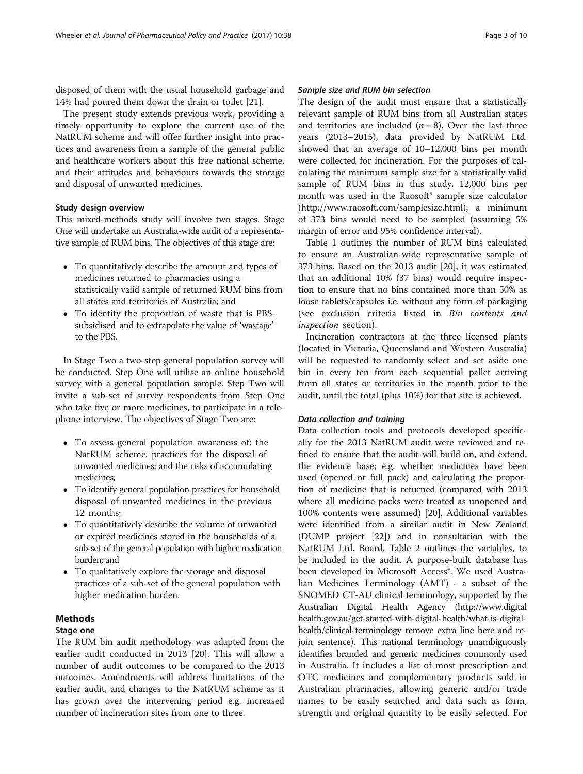disposed of them with the usual household garbage and 14% had poured them down the drain or toilet [\[21](#page-9-0)].

The present study extends previous work, providing a timely opportunity to explore the current use of the NatRUM scheme and will offer further insight into practices and awareness from a sample of the general public and healthcare workers about this free national scheme, and their attitudes and behaviours towards the storage and disposal of unwanted medicines.

# Study design overview

This mixed-methods study will involve two stages. Stage One will undertake an Australia-wide audit of a representative sample of RUM bins. The objectives of this stage are:

- To quantitatively describe the amount and types of medicines returned to pharmacies using a statistically valid sample of returned RUM bins from all states and territories of Australia; and
- To identify the proportion of waste that is PBSsubsidised and to extrapolate the value of 'wastage' to the PBS.

In Stage Two a two-step general population survey will be conducted. Step One will utilise an online household survey with a general population sample. Step Two will invite a sub-set of survey respondents from Step One who take five or more medicines, to participate in a telephone interview. The objectives of Stage Two are:

- To assess general population awareness of: the NatRUM scheme; practices for the disposal of unwanted medicines; and the risks of accumulating medicines;
- To identify general population practices for household disposal of unwanted medicines in the previous 12 months;
- To quantitatively describe the volume of unwanted or expired medicines stored in the households of a sub-set of the general population with higher medication burden; and
- To qualitatively explore the storage and disposal practices of a sub-set of the general population with higher medication burden.

# Methods

# Stage one

The RUM bin audit methodology was adapted from the earlier audit conducted in 2013 [[20\]](#page-9-0). This will allow a number of audit outcomes to be compared to the 2013 outcomes. Amendments will address limitations of the earlier audit, and changes to the NatRUM scheme as it has grown over the intervening period e.g. increased number of incineration sites from one to three.

# Sample size and RUM bin selection

The design of the audit must ensure that a statistically relevant sample of RUM bins from all Australian states and territories are included  $(n = 8)$ . Over the last three years (2013–2015), data provided by NatRUM Ltd. showed that an average of 10–12,000 bins per month were collected for incineration. For the purposes of calculating the minimum sample size for a statistically valid sample of RUM bins in this study, 12,000 bins per month was used in the Raosoft® sample size calculator (<http://www.raosoft.com/samplesize.html>); a minimum of 373 bins would need to be sampled (assuming 5% margin of error and 95% confidence interval).

Table [1](#page-3-0) outlines the number of RUM bins calculated to ensure an Australian-wide representative sample of 373 bins. Based on the 2013 audit [\[20\]](#page-9-0), it was estimated that an additional 10% (37 bins) would require inspection to ensure that no bins contained more than 50% as loose tablets/capsules i.e. without any form of packaging (see exclusion criteria listed in Bin contents and inspection section).

Incineration contractors at the three licensed plants (located in Victoria, Queensland and Western Australia) will be requested to randomly select and set aside one bin in every ten from each sequential pallet arriving from all states or territories in the month prior to the audit, until the total (plus 10%) for that site is achieved.

## Data collection and training

Data collection tools and protocols developed specifically for the 2013 NatRUM audit were reviewed and refined to ensure that the audit will build on, and extend, the evidence base; e.g. whether medicines have been used (opened or full pack) and calculating the proportion of medicine that is returned (compared with 2013 where all medicine packs were treated as unopened and 100% contents were assumed) [\[20](#page-9-0)]. Additional variables were identified from a similar audit in New Zealand (DUMP project [[22\]](#page-9-0)) and in consultation with the NatRUM Ltd. Board. Table [2](#page-4-0) outlines the variables, to be included in the audit. A purpose-built database has been developed in Microsoft Access®. We used Australian Medicines Terminology (AMT) - a subset of the SNOMED CT-AU clinical terminology, supported by the Australian Digital Health Agency ([http://www.digital](http://www.digitalhealth.gov.au/get-started-with-digital-health/what-is-digital-health/clinical-terminology) [health.gov.au/get-started-with-digital-health/what-is-digital](http://www.digitalhealth.gov.au/get-started-with-digital-health/what-is-digital-health/clinical-terminology)[health/clinical-terminology remove extra line here and re](http://www.digitalhealth.gov.au/get-started-with-digital-health/what-is-digital-health/clinical-terminology)[join sentence](http://www.digitalhealth.gov.au/get-started-with-digital-health/what-is-digital-health/clinical-terminology)). This national terminology unambiguously identifies branded and generic medicines commonly used in Australia. It includes a list of most prescription and OTC medicines and complementary products sold in Australian pharmacies, allowing generic and/or trade names to be easily searched and data such as form, strength and original quantity to be easily selected. For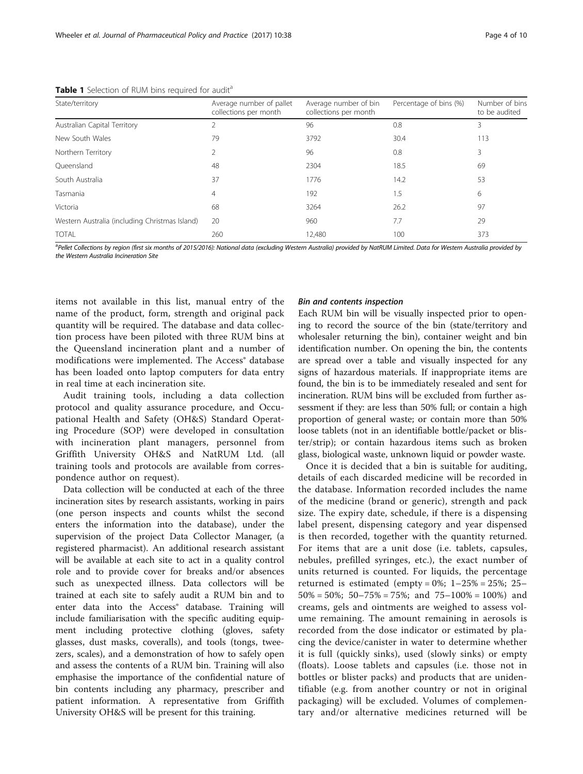| State/territory                                | Average number of pallet<br>collections per month | Average number of bin<br>collections per month | Percentage of bins (%) | Number of bins<br>to be audited |
|------------------------------------------------|---------------------------------------------------|------------------------------------------------|------------------------|---------------------------------|
| Australian Capital Territory                   |                                                   | 96                                             | 0.8                    |                                 |
| New South Wales                                | 79                                                | 3792                                           | 30.4                   | 113                             |
| Northern Territory                             |                                                   | 96                                             | 0.8                    | 3                               |
| Oueensland                                     | 48                                                | 2304                                           | 18.5                   | 69                              |
| South Australia                                | 37                                                | 1776                                           | 14.2                   | 53                              |
| Tasmania                                       | 4                                                 | 192                                            | 1.5                    | 6                               |
| Victoria                                       | 68                                                | 3264                                           | 26.2                   | 97                              |
| Western Australia (including Christmas Island) | 20                                                | 960                                            | 7.7                    | 29                              |
| <b>TOTAL</b>                                   | 260                                               | 12,480                                         | 100                    | 373                             |

<span id="page-3-0"></span>Table 1 Selection of RUM bins required for audit<sup>a</sup>

a<br>Pellet Collections by region (first six months of 2015/2016): National data (excluding Western Australia) provided by NatRUM Limited. Data for Western Australia provided by the Western Australia Incineration Site

items not available in this list, manual entry of the name of the product, form, strength and original pack quantity will be required. The database and data collection process have been piloted with three RUM bins at the Queensland incineration plant and a number of modifications were implemented. The Access<sup>®</sup> database has been loaded onto laptop computers for data entry in real time at each incineration site.

Audit training tools, including a data collection protocol and quality assurance procedure, and Occupational Health and Safety (OH&S) Standard Operating Procedure (SOP) were developed in consultation with incineration plant managers, personnel from Griffith University OH&S and NatRUM Ltd. (all training tools and protocols are available from correspondence author on request).

Data collection will be conducted at each of the three incineration sites by research assistants, working in pairs (one person inspects and counts whilst the second enters the information into the database), under the supervision of the project Data Collector Manager, (a registered pharmacist). An additional research assistant will be available at each site to act in a quality control role and to provide cover for breaks and/or absences such as unexpected illness. Data collectors will be trained at each site to safely audit a RUM bin and to enter data into the Access<sup>®</sup> database. Training will include familiarisation with the specific auditing equipment including protective clothing (gloves, safety glasses, dust masks, coveralls), and tools (tongs, tweezers, scales), and a demonstration of how to safely open and assess the contents of a RUM bin. Training will also emphasise the importance of the confidential nature of bin contents including any pharmacy, prescriber and patient information. A representative from Griffith University OH&S will be present for this training.

## Bin and contents inspection

Each RUM bin will be visually inspected prior to opening to record the source of the bin (state/territory and wholesaler returning the bin), container weight and bin identification number. On opening the bin, the contents are spread over a table and visually inspected for any signs of hazardous materials. If inappropriate items are found, the bin is to be immediately resealed and sent for incineration. RUM bins will be excluded from further assessment if they: are less than 50% full; or contain a high proportion of general waste; or contain more than 50% loose tablets (not in an identifiable bottle/packet or blister/strip); or contain hazardous items such as broken glass, biological waste, unknown liquid or powder waste.

Once it is decided that a bin is suitable for auditing, details of each discarded medicine will be recorded in the database. Information recorded includes the name of the medicine (brand or generic), strength and pack size. The expiry date, schedule, if there is a dispensing label present, dispensing category and year dispensed is then recorded, together with the quantity returned. For items that are a unit dose (i.e. tablets, capsules, nebules, prefilled syringes, etc.), the exact number of units returned is counted. For liquids, the percentage returned is estimated (empty =  $0\%$ ;  $1-25\%$  =  $25\%$ ;  $25 50\% = 50\%; 50-75\% = 75\%;$  and  $75-100\% = 100\%$  and creams, gels and ointments are weighed to assess volume remaining. The amount remaining in aerosols is recorded from the dose indicator or estimated by placing the device/canister in water to determine whether it is full (quickly sinks), used (slowly sinks) or empty (floats). Loose tablets and capsules (i.e. those not in bottles or blister packs) and products that are unidentifiable (e.g. from another country or not in original packaging) will be excluded. Volumes of complementary and/or alternative medicines returned will be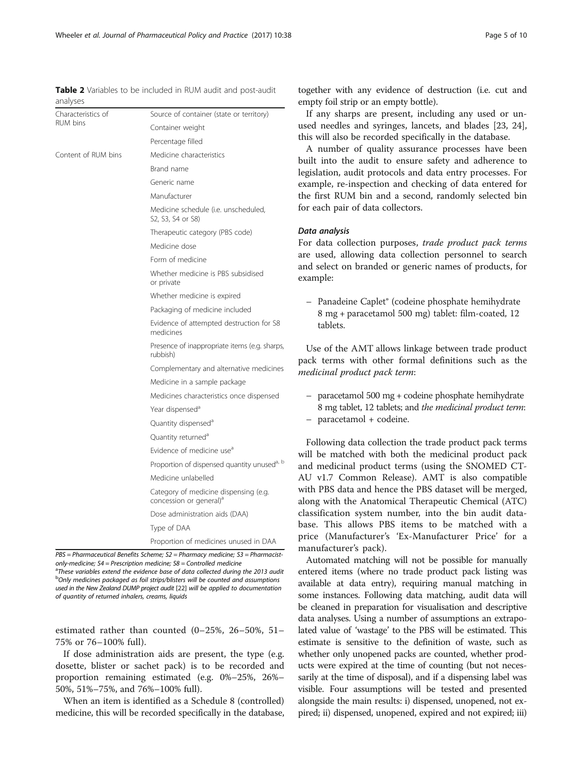PBS = Pharmaceutical Benefits Scheme; S2 = Pharmacy medicine; S3 = Pharmacistonly-medicine; S4 = Prescription medicine; S8 = Controlled medicine <sup>a</sup>These variables extend the evidence base of data collected during the 2013 audit

<sup>b</sup>Only medicines packaged as foil strips/blisters will be counted and assumptions used in the New Zealand DUMP project audit [[22\]](#page-9-0) will be applied to documentation of quantity of returned inhalers, creams, liquids

estimated rather than counted (0–25%, 26–50%, 51– 75% or 76–100% full).

If dose administration aids are present, the type (e.g. dosette, blister or sachet pack) is to be recorded and proportion remaining estimated (e.g. 0%–25%, 26%– 50%, 51%–75%, and 76%–100% full).

When an item is identified as a Schedule 8 (controlled) medicine, this will be recorded specifically in the database, together with any evidence of destruction (i.e. cut and empty foil strip or an empty bottle).

If any sharps are present, including any used or unused needles and syringes, lancets, and blades [\[23](#page-9-0), [24](#page-9-0)], this will also be recorded specifically in the database.

A number of quality assurance processes have been built into the audit to ensure safety and adherence to legislation, audit protocols and data entry processes. For example, re-inspection and checking of data entered for the first RUM bin and a second, randomly selected bin for each pair of data collectors.

# Data analysis

For data collection purposes, trade product pack terms are used, allowing data collection personnel to search and select on branded or generic names of products, for example:

– Panadeine Caplet® (codeine phosphate hemihydrate 8 mg + paracetamol 500 mg) tablet: film-coated, 12 tablets.

Use of the AMT allows linkage between trade product pack terms with other formal definitions such as the medicinal product pack term:

- paracetamol 500 mg + codeine phosphate hemihydrate 8 mg tablet, 12 tablets; and the medicinal product term:
- paracetamol + codeine.

Following data collection the trade product pack terms will be matched with both the medicinal product pack and medicinal product terms (using the SNOMED CT-AU v1.7 Common Release). AMT is also compatible with PBS data and hence the PBS dataset will be merged, along with the Anatomical Therapeutic Chemical (ATC) classification system number, into the bin audit database. This allows PBS items to be matched with a price (Manufacturer's 'Ex-Manufacturer Price' for a manufacturer's pack).

Automated matching will not be possible for manually entered items (where no trade product pack listing was available at data entry), requiring manual matching in some instances. Following data matching, audit data will be cleaned in preparation for visualisation and descriptive data analyses. Using a number of assumptions an extrapolated value of 'wastage' to the PBS will be estimated. This estimate is sensitive to the definition of waste, such as whether only unopened packs are counted, whether products were expired at the time of counting (but not necessarily at the time of disposal), and if a dispensing label was visible. Four assumptions will be tested and presented alongside the main results: i) dispensed, unopened, not expired; ii) dispensed, unopened, expired and not expired; iii)

Table 2 Variables to be included in RUM audit and post-audit analyses

<span id="page-4-0"></span>

| Wheeler et al. Journal of Pharmaceutical Policy and Practice (2017) 10:38 | Page 5 of 10 |
|---------------------------------------------------------------------------|--------------|
|---------------------------------------------------------------------------|--------------|

| Characteristics of<br><b>RUM</b> bins | Source of container (state or territory)                                     |  |
|---------------------------------------|------------------------------------------------------------------------------|--|
|                                       | Container weight                                                             |  |
|                                       | Percentage filled                                                            |  |
| Content of RUM bins                   | Medicine characteristics                                                     |  |
|                                       | Brand name                                                                   |  |
|                                       | Generic name                                                                 |  |
|                                       | Manufacturer                                                                 |  |
|                                       | Medicine schedule (i.e. unscheduled,<br>S2, S3, S4 or S8)                    |  |
|                                       | Therapeutic category (PBS code)                                              |  |
|                                       | Medicine dose                                                                |  |
|                                       | Form of medicine                                                             |  |
|                                       | Whether medicine is PBS subsidised<br>or private                             |  |
|                                       | Whether medicine is expired                                                  |  |
|                                       | Packaging of medicine included                                               |  |
|                                       | Evidence of attempted destruction for S8<br>medicines                        |  |
|                                       | Presence of inappropriate items (e.g. sharps,<br>rubbish)                    |  |
|                                       | Complementary and alternative medicines                                      |  |
|                                       | Medicine in a sample package                                                 |  |
|                                       | Medicines characteristics once dispensed                                     |  |
|                                       | Year dispensed <sup>a</sup>                                                  |  |
|                                       | Quantity dispensed <sup>a</sup>                                              |  |
|                                       | Quantity returned <sup>a</sup>                                               |  |
|                                       | Evidence of medicine use <sup>a</sup>                                        |  |
|                                       | Proportion of dispensed quantity unused <sup>a, b</sup>                      |  |
|                                       | Medicine unlabelled                                                          |  |
|                                       | Category of medicine dispensing (e.g.<br>concession or general) <sup>a</sup> |  |
|                                       | Dose administration aids (DAA)                                               |  |
|                                       | Type of DAA                                                                  |  |
|                                       | Proportion of medicines unused in DAA                                        |  |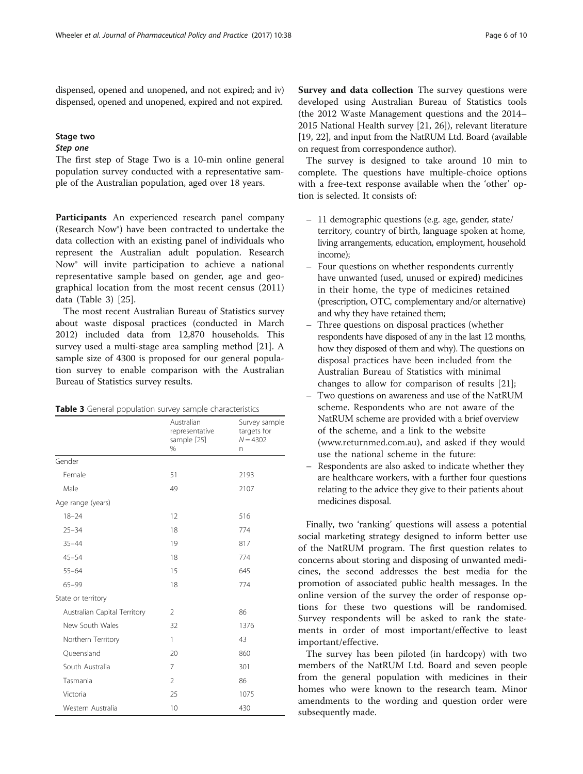dispensed, opened and unopened, and not expired; and iv) dispensed, opened and unopened, expired and not expired.

# Stage two

# Step one

The first step of Stage Two is a 10-min online general population survey conducted with a representative sample of the Australian population, aged over 18 years.

Participants An experienced research panel company (Research Now®) have been contracted to undertake the data collection with an existing panel of individuals who represent the Australian adult population. Research Now® will invite participation to achieve a national representative sample based on gender, age and geographical location from the most recent census (2011) data (Table 3) [\[25](#page-9-0)].

The most recent Australian Bureau of Statistics survey about waste disposal practices (conducted in March 2012) included data from 12,870 households. This survey used a multi-stage area sampling method [[21\]](#page-9-0). A sample size of 4300 is proposed for our general population survey to enable comparison with the Australian Bureau of Statistics survey results.

| Table 3 General population survey sample characteristics |  |  |  |  |  |
|----------------------------------------------------------|--|--|--|--|--|
|----------------------------------------------------------|--|--|--|--|--|

|                              | Australian<br>representative<br>sample [25]<br>% | Survey sample<br>targets for<br>$N = 4302$<br>n |
|------------------------------|--------------------------------------------------|-------------------------------------------------|
| Gender                       |                                                  |                                                 |
| Female                       | 51                                               | 2193                                            |
| Male                         | 49                                               | 2107                                            |
| Age range (years)            |                                                  |                                                 |
| $18 - 24$                    | 12                                               | 516                                             |
| $25 - 34$                    | 18                                               | 774                                             |
| $35 - 44$                    | 19                                               | 817                                             |
| $45 - 54$                    | 18                                               | 774                                             |
| $55 - 64$                    | 15                                               | 645                                             |
| 65-99                        | 18                                               | 774                                             |
| State or territory           |                                                  |                                                 |
| Australian Capital Territory | 2                                                | 86                                              |
| New South Wales              | 32                                               | 1376                                            |
| Northern Territory           | $\mathbf{1}$                                     | 43                                              |
| Oueensland                   | 20                                               | 860                                             |
| South Australia              | 7                                                | 301                                             |
| Tasmania                     | $\overline{2}$                                   | 86                                              |
| Victoria                     | 25                                               | 1075                                            |
| Western Australia            | 10                                               | 430                                             |

Survey and data collection The survey questions were developed using Australian Bureau of Statistics tools (the 2012 Waste Management questions and the 2014– 2015 National Health survey [[21, 26\]](#page-9-0)), relevant literature [[19, 22\]](#page-9-0), and input from the NatRUM Ltd. Board (available on request from correspondence author).

The survey is designed to take around 10 min to complete. The questions have multiple-choice options with a free-text response available when the 'other' option is selected. It consists of:

- 11 demographic questions (e.g. age, gender, state/ territory, country of birth, language spoken at home, living arrangements, education, employment, household income);
- Four questions on whether respondents currently have unwanted (used, unused or expired) medicines in their home, the type of medicines retained (prescription, OTC, complementary and/or alternative) and why they have retained them;
- Three questions on disposal practices (whether respondents have disposed of any in the last 12 months, how they disposed of them and why). The questions on disposal practices have been included from the Australian Bureau of Statistics with minimal changes to allow for comparison of results [\[21\]](#page-9-0);
- Two questions on awareness and use of the NatRUM scheme. Respondents who are not aware of the NatRUM scheme are provided with a brief overview of the scheme, and a link to the website ([www.returnmed.com.au](http://www.returnmed.com.au)), and asked if they would use the national scheme in the future:
- Respondents are also asked to indicate whether they are healthcare workers, with a further four questions relating to the advice they give to their patients about medicines disposal.

Finally, two 'ranking' questions will assess a potential social marketing strategy designed to inform better use of the NatRUM program. The first question relates to concerns about storing and disposing of unwanted medicines, the second addresses the best media for the promotion of associated public health messages. In the online version of the survey the order of response options for these two questions will be randomised. Survey respondents will be asked to rank the statements in order of most important/effective to least important/effective.

The survey has been piloted (in hardcopy) with two members of the NatRUM Ltd. Board and seven people from the general population with medicines in their homes who were known to the research team. Minor amendments to the wording and question order were subsequently made.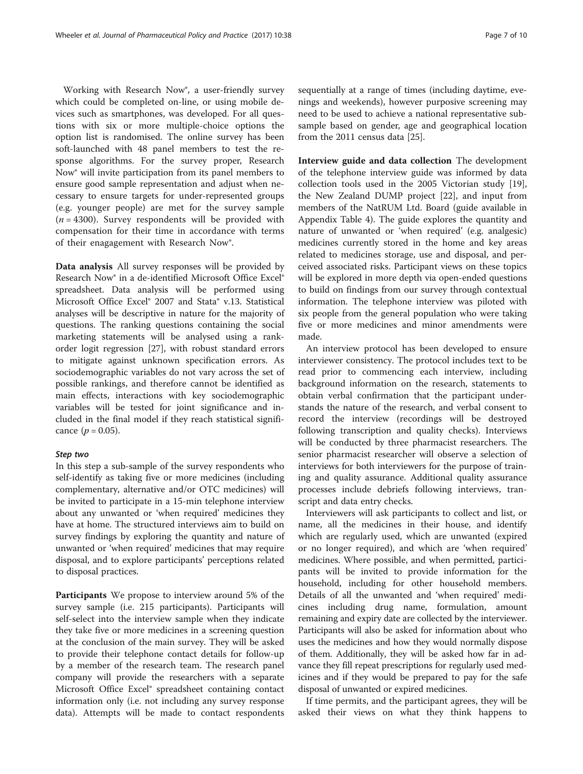Working with Research Now®, a user-friendly survey which could be completed on-line, or using mobile devices such as smartphones, was developed. For all questions with six or more multiple-choice options the option list is randomised. The online survey has been soft-launched with 48 panel members to test the response algorithms. For the survey proper, Research Now® will invite participation from its panel members to ensure good sample representation and adjust when necessary to ensure targets for under-represented groups (e.g. younger people) are met for the survey sample  $(n = 4300)$ . Survey respondents will be provided with compensation for their time in accordance with terms of their enagagement with Research Now®.

Data analysis All survey responses will be provided by Research Now® in a de-identified Microsoft Office Excel® spreadsheet. Data analysis will be performed using Microsoft Office Excel® 2007 and Stata® v.13. Statistical analyses will be descriptive in nature for the majority of questions. The ranking questions containing the social marketing statements will be analysed using a rankorder logit regression [\[27](#page-9-0)], with robust standard errors to mitigate against unknown specification errors. As sociodemographic variables do not vary across the set of possible rankings, and therefore cannot be identified as main effects, interactions with key sociodemographic variables will be tested for joint significance and included in the final model if they reach statistical significance  $(p = 0.05)$ .

## Step two

In this step a sub-sample of the survey respondents who self-identify as taking five or more medicines (including complementary, alternative and/or OTC medicines) will be invited to participate in a 15-min telephone interview about any unwanted or 'when required' medicines they have at home. The structured interviews aim to build on survey findings by exploring the quantity and nature of unwanted or 'when required' medicines that may require disposal, and to explore participants' perceptions related to disposal practices.

Participants We propose to interview around 5% of the survey sample (i.e. 215 participants). Participants will self-select into the interview sample when they indicate they take five or more medicines in a screening question at the conclusion of the main survey. They will be asked to provide their telephone contact details for follow-up by a member of the research team. The research panel company will provide the researchers with a separate Microsoft Office Excel® spreadsheet containing contact information only (i.e. not including any survey response data). Attempts will be made to contact respondents sequentially at a range of times (including daytime, evenings and weekends), however purposive screening may need to be used to achieve a national representative subsample based on gender, age and geographical location from the 2011 census data [\[25](#page-9-0)].

Interview guide and data collection The development of the telephone interview guide was informed by data collection tools used in the 2005 Victorian study [\[19](#page-9-0)], the New Zealand DUMP project [[22\]](#page-9-0), and input from members of the NatRUM Ltd. Board (guide available in Appendix Table [4](#page-8-0)). The guide explores the quantity and nature of unwanted or 'when required' (e.g. analgesic) medicines currently stored in the home and key areas related to medicines storage, use and disposal, and perceived associated risks. Participant views on these topics will be explored in more depth via open-ended questions to build on findings from our survey through contextual information. The telephone interview was piloted with six people from the general population who were taking five or more medicines and minor amendments were made.

An interview protocol has been developed to ensure interviewer consistency. The protocol includes text to be read prior to commencing each interview, including background information on the research, statements to obtain verbal confirmation that the participant understands the nature of the research, and verbal consent to record the interview (recordings will be destroyed following transcription and quality checks). Interviews will be conducted by three pharmacist researchers. The senior pharmacist researcher will observe a selection of interviews for both interviewers for the purpose of training and quality assurance. Additional quality assurance processes include debriefs following interviews, transcript and data entry checks.

Interviewers will ask participants to collect and list, or name, all the medicines in their house, and identify which are regularly used, which are unwanted (expired or no longer required), and which are 'when required' medicines. Where possible, and when permitted, participants will be invited to provide information for the household, including for other household members. Details of all the unwanted and 'when required' medicines including drug name, formulation, amount remaining and expiry date are collected by the interviewer. Participants will also be asked for information about who uses the medicines and how they would normally dispose of them. Additionally, they will be asked how far in advance they fill repeat prescriptions for regularly used medicines and if they would be prepared to pay for the safe disposal of unwanted or expired medicines.

If time permits, and the participant agrees, they will be asked their views on what they think happens to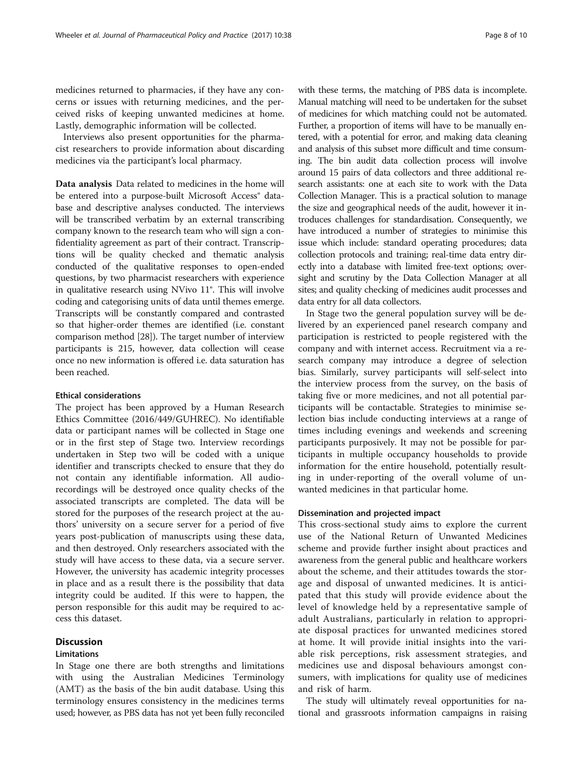medicines returned to pharmacies, if they have any concerns or issues with returning medicines, and the perceived risks of keeping unwanted medicines at home. Lastly, demographic information will be collected.

Interviews also present opportunities for the pharmacist researchers to provide information about discarding medicines via the participant's local pharmacy.

Data analysis Data related to medicines in the home will be entered into a purpose-built Microsoft Access<sup>®</sup> database and descriptive analyses conducted. The interviews will be transcribed verbatim by an external transcribing company known to the research team who will sign a confidentiality agreement as part of their contract. Transcriptions will be quality checked and thematic analysis conducted of the qualitative responses to open-ended questions, by two pharmacist researchers with experience in qualitative research using NVivo 11®. This will involve coding and categorising units of data until themes emerge. Transcripts will be constantly compared and contrasted so that higher-order themes are identified (i.e. constant comparison method [\[28\]](#page-9-0)). The target number of interview participants is 215, however, data collection will cease once no new information is offered i.e. data saturation has been reached.

# Ethical considerations

The project has been approved by a Human Research Ethics Committee (2016/449/GUHREC). No identifiable data or participant names will be collected in Stage one or in the first step of Stage two. Interview recordings undertaken in Step two will be coded with a unique identifier and transcripts checked to ensure that they do not contain any identifiable information. All audiorecordings will be destroyed once quality checks of the associated transcripts are completed. The data will be stored for the purposes of the research project at the authors' university on a secure server for a period of five years post-publication of manuscripts using these data, and then destroyed. Only researchers associated with the study will have access to these data, via a secure server. However, the university has academic integrity processes in place and as a result there is the possibility that data integrity could be audited. If this were to happen, the person responsible for this audit may be required to access this dataset.

# **Discussion**

# Limitations

In Stage one there are both strengths and limitations with using the Australian Medicines Terminology (AMT) as the basis of the bin audit database. Using this terminology ensures consistency in the medicines terms used; however, as PBS data has not yet been fully reconciled with these terms, the matching of PBS data is incomplete. Manual matching will need to be undertaken for the subset of medicines for which matching could not be automated. Further, a proportion of items will have to be manually entered, with a potential for error, and making data cleaning and analysis of this subset more difficult and time consuming. The bin audit data collection process will involve around 15 pairs of data collectors and three additional research assistants: one at each site to work with the Data Collection Manager. This is a practical solution to manage the size and geographical needs of the audit, however it introduces challenges for standardisation. Consequently, we have introduced a number of strategies to minimise this issue which include: standard operating procedures; data collection protocols and training; real-time data entry directly into a database with limited free-text options; oversight and scrutiny by the Data Collection Manager at all sites; and quality checking of medicines audit processes and data entry for all data collectors.

In Stage two the general population survey will be delivered by an experienced panel research company and participation is restricted to people registered with the company and with internet access. Recruitment via a research company may introduce a degree of selection bias. Similarly, survey participants will self-select into the interview process from the survey, on the basis of taking five or more medicines, and not all potential participants will be contactable. Strategies to minimise selection bias include conducting interviews at a range of times including evenings and weekends and screening participants purposively. It may not be possible for participants in multiple occupancy households to provide information for the entire household, potentially resulting in under-reporting of the overall volume of unwanted medicines in that particular home.

## Dissemination and projected impact

This cross-sectional study aims to explore the current use of the National Return of Unwanted Medicines scheme and provide further insight about practices and awareness from the general public and healthcare workers about the scheme, and their attitudes towards the storage and disposal of unwanted medicines. It is anticipated that this study will provide evidence about the level of knowledge held by a representative sample of adult Australians, particularly in relation to appropriate disposal practices for unwanted medicines stored at home. It will provide initial insights into the variable risk perceptions, risk assessment strategies, and medicines use and disposal behaviours amongst consumers, with implications for quality use of medicines and risk of harm.

The study will ultimately reveal opportunities for national and grassroots information campaigns in raising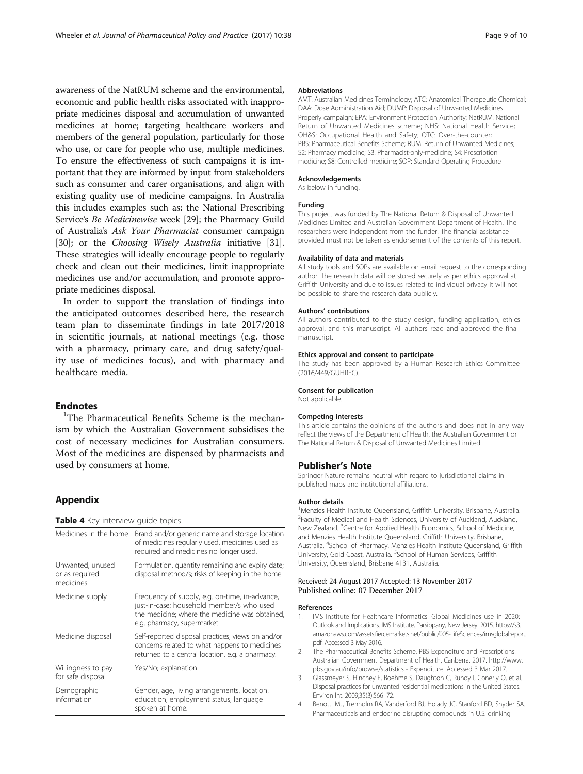<span id="page-8-0"></span>awareness of the NatRUM scheme and the environmental, economic and public health risks associated with inappropriate medicines disposal and accumulation of unwanted medicines at home; targeting healthcare workers and members of the general population, particularly for those who use, or care for people who use, multiple medicines. To ensure the effectiveness of such campaigns it is important that they are informed by input from stakeholders such as consumer and carer organisations, and align with existing quality use of medicine campaigns. In Australia this includes examples such as: the National Prescribing Service's Be Medicinewise week [[29](#page-9-0)]; the Pharmacy Guild of Australia's Ask Your Pharmacist consumer campaign [[30](#page-9-0)]; or the Choosing Wisely Australia initiative [[31](#page-9-0)]. These strategies will ideally encourage people to regularly check and clean out their medicines, limit inappropriate medicines use and/or accumulation, and promote appropriate medicines disposal.

In order to support the translation of findings into the anticipated outcomes described here, the research team plan to disseminate findings in late 2017/2018 in scientific journals, at national meetings (e.g. those with a pharmacy, primary care, and drug safety/quality use of medicines focus), and with pharmacy and healthcare media.

# **Endnotes**

<sup>1</sup>The Pharmaceutical Benefits Scheme is the mechanism by which the Australian Government subsidises the cost of necessary medicines for Australian consumers. Most of the medicines are dispensed by pharmacists and used by consumers at home.

# Appendix

Table 4 Key interview quide topics

| Medicines in the home                           | Brand and/or generic name and storage location<br>of medicines regularly used, medicines used as<br>required and medicines no longer used.                                   |
|-------------------------------------------------|------------------------------------------------------------------------------------------------------------------------------------------------------------------------------|
| Unwanted, unused<br>or as required<br>medicines | Formulation, quantity remaining and expiry date;<br>disposal method/s; risks of keeping in the home.                                                                         |
| Medicine supply                                 | Frequency of supply, e.g. on-time, in-advance,<br>just-in-case; household member/s who used<br>the medicine; where the medicine was obtained,<br>e.g. pharmacy, supermarket. |
| Medicine disposal                               | Self-reported disposal practices, views on and/or<br>concerns related to what happens to medicines<br>returned to a central location, e.g. a pharmacy.                       |
| Willingness to pay<br>for safe disposal         | Yes/No; explanation.                                                                                                                                                         |
| Demographic<br>information                      | Gender, age, living arrangements, location,<br>education, employment status, language<br>spoken at home.                                                                     |

## Abbreviations

AMT: Australian Medicines Terminology; ATC: Anatomical Therapeutic Chemical; DAA: Dose Administration Aid; DUMP: Disposal of Unwanted Medicines Properly campaign; EPA: Environment Protection Authority; NatRUM: National Return of Unwanted Medicines scheme; NHS: National Health Service; OH&S: Occupational Health and Safety; OTC: Over-the-counter; PBS: Pharmaceutical Benefits Scheme; RUM: Return of Unwanted Medicines; S2: Pharmacy medicine; S3: Pharmacist-only-medicine; S4: Prescription medicine; S8: Controlled medicine; SOP: Standard Operating Procedure

#### Acknowledgements

As below in funding.

#### Funding

This project was funded by The National Return & Disposal of Unwanted Medicines Limited and Australian Government Department of Health. The researchers were independent from the funder. The financial assistance provided must not be taken as endorsement of the contents of this report.

#### Availability of data and materials

All study tools and SOPs are available on email request to the corresponding author. The research data will be stored securely as per ethics approval at Griffith University and due to issues related to individual privacy it will not be possible to share the research data publicly.

#### Authors' contributions

All authors contributed to the study design, funding application, ethics approval, and this manuscript. All authors read and approved the final manuscript.

#### Ethics approval and consent to participate

The study has been approved by a Human Research Ethics Committee (2016/449/GUHREC).

# Consent for publication

Not applicable.

### Competing interests

This article contains the opinions of the authors and does not in any way reflect the views of the Department of Health, the Australian Government or The National Return & Disposal of Unwanted Medicines Limited.

## Publisher's Note

Springer Nature remains neutral with regard to jurisdictional claims in published maps and institutional affiliations.

#### Author details

<sup>1</sup> Menzies Health Institute Queensland, Griffith University, Brisbane, Australia <sup>2</sup> Faculty of Medical and Health Sciences, University of Auckland, Auckland, New Zealand. <sup>3</sup>Centre for Applied Health Economics, School of Medicine, and Menzies Health Institute Queensland, Griffith University, Brisbane, Australia. <sup>4</sup> School of Pharmacy, Menzies Health Institute Queensland, Griffith University, Gold Coast, Australia. <sup>5</sup>School of Human Services, Griffith University, Queensland, Brisbane 4131, Australia.

## Received: 24 August 2017 Accepted: 13 November 2017 Published online: 07 December 2017

## References

- 1. IMS Institute for Healthcare Informatics. Global Medicines use in 2020: Outlook and Implications. IMS Institute, Parsippany, New Jersey. 2015. [https://s3.](https://s3.amazonaws.com/assets.fiercemarkets.net/public/005-LifeSciences/imsglobalreport.pdf) [amazonaws.com/assets.fiercemarkets.net/public/005-LifeSciences/imsglobalreport.](https://s3.amazonaws.com/assets.fiercemarkets.net/public/005-LifeSciences/imsglobalreport.pdf) [pdf.](https://s3.amazonaws.com/assets.fiercemarkets.net/public/005-LifeSciences/imsglobalreport.pdf) Accessed 3 May 2016.
- 2. The Pharmaceutical Benefits Scheme. PBS Expenditure and Prescriptions. Australian Government Department of Health, Canberra. 2017. [http://www.](http://www.pbs.gov.au/info/browse/statistics%20-%20Expenditure) [pbs.gov.au/info/browse/statistics - Expenditure](http://www.pbs.gov.au/info/browse/statistics%20-%20Expenditure). Accessed 3 Mar 2017.
- 3. Glassmeyer S, Hinchey E, Boehme S, Daughton C, Ruhoy I, Conerly O, et al. Disposal practices for unwanted residential medications in the United States. Environ Int. 2009;35(3):566–72.
- 4. Benotti MJ, Trenholm RA, Vanderford BJ, Holady JC, Stanford BD, Snyder SA. Pharmaceuticals and endocrine disrupting compounds in U.S. drinking